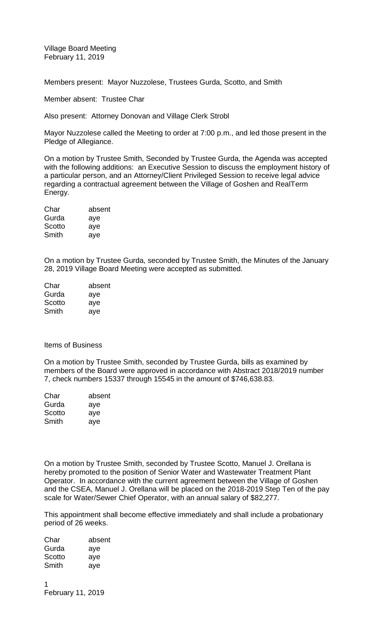Village Board Meeting February 11, 2019

Members present: Mayor Nuzzolese, Trustees Gurda, Scotto, and Smith

Member absent: Trustee Char

Also present: Attorney Donovan and Village Clerk Strobl

Mayor Nuzzolese called the Meeting to order at 7:00 p.m., and led those present in the Pledge of Allegiance.

On a motion by Trustee Smith, Seconded by Trustee Gurda, the Agenda was accepted with the following additions: an Executive Session to discuss the employment history of a particular person, and an Attorney/Client Privileged Session to receive legal advice regarding a contractual agreement between the Village of Goshen and RealTerm Energy.

| absent |
|--------|
| aye    |
| aye    |
| aye    |
|        |

On a motion by Trustee Gurda, seconded by Trustee Smith, the Minutes of the January 28, 2019 Village Board Meeting were accepted as submitted.

| Char   | absent |
|--------|--------|
| Gurda  | aye    |
| Scotto | aye    |
| Smith  | aye    |

## Items of Business

On a motion by Trustee Smith, seconded by Trustee Gurda, bills as examined by members of the Board were approved in accordance with Abstract 2018/2019 number 7, check numbers 15337 through 15545 in the amount of \$746,638.83.

| Char   | absent |
|--------|--------|
| Gurda  | aye    |
| Scotto | aye    |
| Smith  | aye    |

On a motion by Trustee Smith, seconded by Trustee Scotto, Manuel J. Orellana is hereby promoted to the position of Senior Water and Wastewater Treatment Plant Operator. In accordance with the current agreement between the Village of Goshen and the CSEA, Manuel J. Orellana will be placed on the 2018-2019 Step Ten of the pay scale for Water/Sewer Chief Operator, with an annual salary of \$82,277.

This appointment shall become effective immediately and shall include a probationary period of 26 weeks.

| Char   | absent |
|--------|--------|
| Gurda  | aye    |
| Scotto | aye    |
| Smith  | aye    |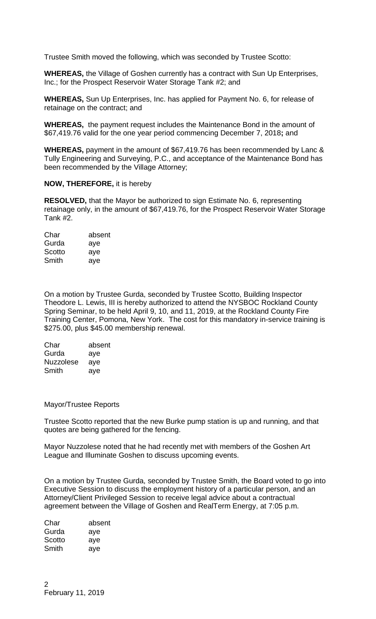Trustee Smith moved the following, which was seconded by Trustee Scotto:

**WHEREAS,** the Village of Goshen currently has a contract with Sun Up Enterprises, Inc.; for the Prospect Reservoir Water Storage Tank #2; and

**WHEREAS,** Sun Up Enterprises, Inc. has applied for Payment No. 6, for release of retainage on the contract; and

**WHEREAS,** the payment request includes the Maintenance Bond in the amount of \$67,419.76 valid for the one year period commencing December 7, 2018**;** and

**WHEREAS,** payment in the amount of \$67,419.76 has been recommended by Lanc & Tully Engineering and Surveying, P.C., and acceptance of the Maintenance Bond has been recommended by the Village Attorney;

## **NOW, THEREFORE,** it is hereby

**RESOLVED,** that the Mayor be authorized to sign Estimate No. 6, representing retainage only, in the amount of \$67,419.76, for the Prospect Reservoir Water Storage Tank #2.

| Char   | absent |
|--------|--------|
| Gurda  | aye    |
| Scotto | aye    |
| Smith  | aye    |

On a motion by Trustee Gurda, seconded by Trustee Scotto, Building Inspector Theodore L. Lewis, III is hereby authorized to attend the NYSBOC Rockland County Spring Seminar, to be held April 9, 10, and 11, 2019, at the Rockland County Fire Training Center, Pomona, New York. The cost for this mandatory in-service training is \$275.00, plus \$45.00 membership renewal.

| Char             | absent |
|------------------|--------|
| Gurda            | aye    |
| <b>Nuzzolese</b> | aye    |
| Smith            | aye    |

## Mayor/Trustee Reports

Trustee Scotto reported that the new Burke pump station is up and running, and that quotes are being gathered for the fencing.

Mayor Nuzzolese noted that he had recently met with members of the Goshen Art League and Illuminate Goshen to discuss upcoming events.

On a motion by Trustee Gurda, seconded by Trustee Smith, the Board voted to go into Executive Session to discuss the employment history of a particular person, and an Attorney/Client Privileged Session to receive legal advice about a contractual agreement between the Village of Goshen and RealTerm Energy, at 7:05 p.m.

| Char   | absent |
|--------|--------|
| Gurda  | aye    |
| Scotto | aye    |
| Smith  | aye    |